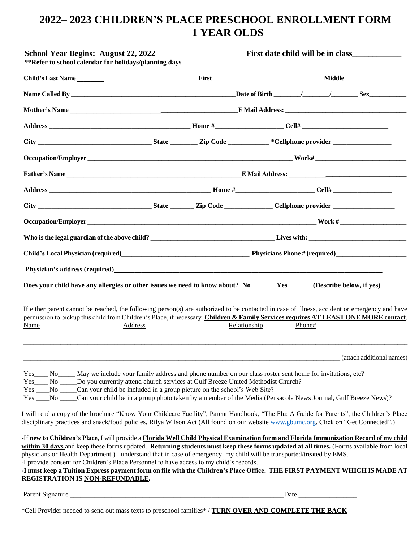# **2022– 2023 CHILDREN'S PLACE PRESCHOOL ENROLLMENT FORM 1 YEAR OLDS**

| <b>School Year Begins: August 22, 2022</b><br>**Refer to school calendar for holidays/planning days                                                                                                                                                                                                                                                                                                                                                                                                                                                                                                                                |              | First date child will be in class |
|------------------------------------------------------------------------------------------------------------------------------------------------------------------------------------------------------------------------------------------------------------------------------------------------------------------------------------------------------------------------------------------------------------------------------------------------------------------------------------------------------------------------------------------------------------------------------------------------------------------------------------|--------------|-----------------------------------|
|                                                                                                                                                                                                                                                                                                                                                                                                                                                                                                                                                                                                                                    |              |                                   |
|                                                                                                                                                                                                                                                                                                                                                                                                                                                                                                                                                                                                                                    |              |                                   |
|                                                                                                                                                                                                                                                                                                                                                                                                                                                                                                                                                                                                                                    |              |                                   |
|                                                                                                                                                                                                                                                                                                                                                                                                                                                                                                                                                                                                                                    |              |                                   |
|                                                                                                                                                                                                                                                                                                                                                                                                                                                                                                                                                                                                                                    |              |                                   |
|                                                                                                                                                                                                                                                                                                                                                                                                                                                                                                                                                                                                                                    |              |                                   |
|                                                                                                                                                                                                                                                                                                                                                                                                                                                                                                                                                                                                                                    |              |                                   |
|                                                                                                                                                                                                                                                                                                                                                                                                                                                                                                                                                                                                                                    |              |                                   |
|                                                                                                                                                                                                                                                                                                                                                                                                                                                                                                                                                                                                                                    |              |                                   |
|                                                                                                                                                                                                                                                                                                                                                                                                                                                                                                                                                                                                                                    |              |                                   |
|                                                                                                                                                                                                                                                                                                                                                                                                                                                                                                                                                                                                                                    |              |                                   |
|                                                                                                                                                                                                                                                                                                                                                                                                                                                                                                                                                                                                                                    |              |                                   |
| Physician's address (required)<br><u>Depends on the contract of the contract of the contract of the contract of the contract of the contract of the contract of the contract of the contract of the contract of the contract of th</u>                                                                                                                                                                                                                                                                                                                                                                                             |              |                                   |
| Does your child have any allergies or other issues we need to know about? No ________ Yes _______ (Describe below, if yes)                                                                                                                                                                                                                                                                                                                                                                                                                                                                                                         |              |                                   |
| If either parent cannot be reached, the following person(s) are authorized to be contacted in case of illness, accident or emergency and have<br>permission to pickup this child from Children's Place, if necessary. Children & Family Services requires AT LEAST ONE MORE contact.                                                                                                                                                                                                                                                                                                                                               |              |                                   |
| Name<br>Address                                                                                                                                                                                                                                                                                                                                                                                                                                                                                                                                                                                                                    | Relationship | Phone#                            |
|                                                                                                                                                                                                                                                                                                                                                                                                                                                                                                                                                                                                                                    |              | (attach additional names)         |
| Yes No Normal May we include your family address and phone number on our class roster sent home for invitations, etc?<br>Yes ______ No ______ Do you currently attend church services at Gulf Breeze United Methodist Church?<br>Yes _____No ______Can your child be included in a group picture on the school's Web Site?<br>Yes ___No ____Can your child be in a group photo taken by a member of the Media (Pensacola News Journal, Gulf Breeze News)?                                                                                                                                                                          |              |                                   |
| I will read a copy of the brochure "Know Your Childcare Facility", Parent Handbook, "The Flu: A Guide for Parents", the Children's Place<br>disciplinary practices and snack/food policies, Rilya Wilson Act (All found on our website www.gbumc.org. Click on "Get Connected".)                                                                                                                                                                                                                                                                                                                                                   |              |                                   |
| -If new to Children's Place, I will provide a Florida Well Child Physical Examination form and Florida Immunization Record of my child<br>within 30 days and keep these forms updated. Returning students must keep these forms updated at all times. (Forms available from local<br>physicians or Health Department.) I understand that in case of emergency, my child will be transported/treated by EMS.<br>-I provide consent for Children's Place Personnel to have access to my child's records.<br>-I must keep a Tuition Express payment form on file with the Children's Place Office. THE FIRST PAYMENT WHICH IS MADE AT |              |                                   |
| REGISTRATION IS NON-REFUNDABLE.                                                                                                                                                                                                                                                                                                                                                                                                                                                                                                                                                                                                    |              |                                   |
|                                                                                                                                                                                                                                                                                                                                                                                                                                                                                                                                                                                                                                    |              |                                   |

\*Cell Provider needed to send out mass texts to preschool families\* / **TURN OVER AND COMPLETE THE BACK**